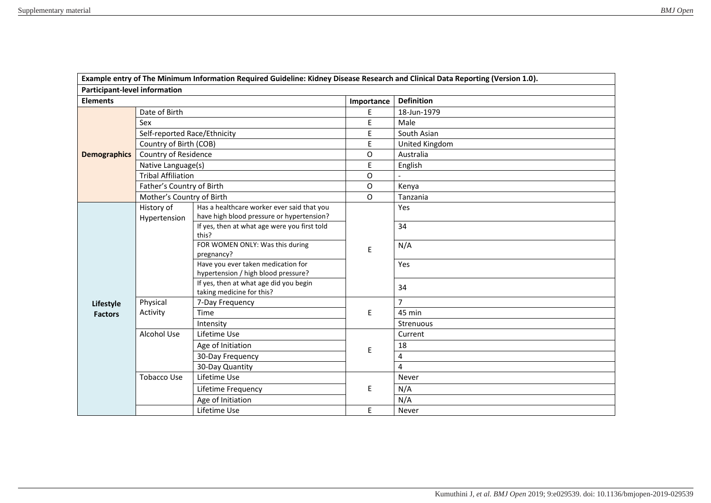| Example entry of The Minimum Information Required Guideline: Kidney Disease Research and Clinical Data Reporting (Version 1.0). |                             |                                                                     |            |                   |  |
|---------------------------------------------------------------------------------------------------------------------------------|-----------------------------|---------------------------------------------------------------------|------------|-------------------|--|
| <b>Participant-level information</b>                                                                                            |                             |                                                                     |            |                   |  |
| <b>Elements</b>                                                                                                                 |                             |                                                                     | Importance | <b>Definition</b> |  |
| <b>Demographics</b>                                                                                                             | Date of Birth               |                                                                     | Е          | 18-Jun-1979       |  |
|                                                                                                                                 | Sex                         |                                                                     | Ε          | Male              |  |
|                                                                                                                                 |                             | Self-reported Race/Ethnicity                                        |            | South Asian       |  |
|                                                                                                                                 | Country of Birth (COB)      |                                                                     | E          | United Kingdom    |  |
|                                                                                                                                 | <b>Country of Residence</b> |                                                                     | O          | Australia         |  |
|                                                                                                                                 | Native Language(s)          |                                                                     | E          | English           |  |
|                                                                                                                                 | <b>Tribal Affiliation</b>   |                                                                     | $\circ$    |                   |  |
|                                                                                                                                 | Father's Country of Birth   |                                                                     | O          | Kenya             |  |
|                                                                                                                                 | Mother's Country of Birth   |                                                                     | $\Omega$   | Tanzania          |  |
|                                                                                                                                 | History of                  | Has a healthcare worker ever said that you                          |            | Yes               |  |
|                                                                                                                                 | Hypertension                | have high blood pressure or hypertension?                           |            |                   |  |
|                                                                                                                                 |                             | If yes, then at what age were you first told<br>this?               |            | 34                |  |
|                                                                                                                                 |                             | FOR WOMEN ONLY: Was this during                                     |            | N/A               |  |
|                                                                                                                                 |                             | pregnancy?                                                          | E          |                   |  |
|                                                                                                                                 |                             | Have you ever taken medication for                                  |            | Yes               |  |
|                                                                                                                                 |                             | hypertension / high blood pressure?                                 |            |                   |  |
|                                                                                                                                 |                             | If yes, then at what age did you begin<br>taking medicine for this? |            | 34                |  |
| Lifestyle                                                                                                                       | Physical                    | 7-Day Frequency                                                     |            | $\overline{7}$    |  |
| <b>Factors</b>                                                                                                                  | Activity                    | Time                                                                | E          | 45 min            |  |
|                                                                                                                                 |                             | Intensity                                                           |            | Strenuous         |  |
|                                                                                                                                 | Alcohol Use                 | Lifetime Use                                                        |            | Current           |  |
|                                                                                                                                 |                             | Age of Initiation                                                   | E          | 18                |  |
|                                                                                                                                 |                             | 30-Day Frequency                                                    |            | 4                 |  |
|                                                                                                                                 |                             | 30-Day Quantity                                                     |            | 4                 |  |
|                                                                                                                                 | <b>Tobacco Use</b>          | Lifetime Use                                                        |            | Never             |  |
|                                                                                                                                 |                             | Lifetime Frequency                                                  | E          | N/A               |  |
|                                                                                                                                 |                             | Age of Initiation                                                   |            | N/A               |  |
|                                                                                                                                 |                             | Lifetime Use                                                        | E          | Never             |  |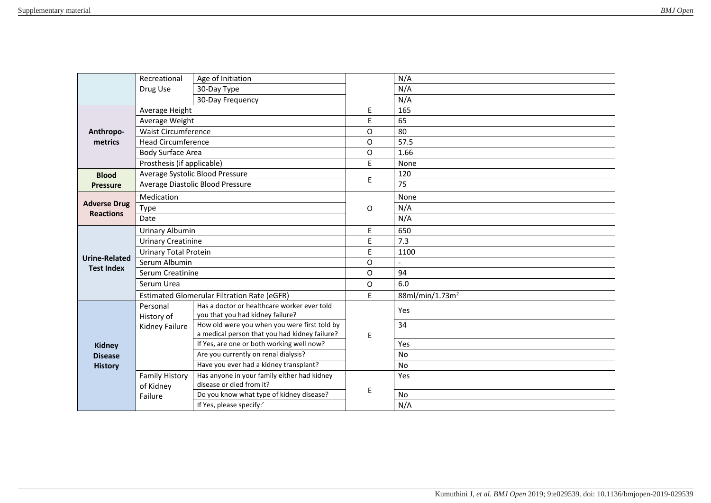|                                           | Recreational                                                        | Age of Initiation                                                       |              | N/A                         |
|-------------------------------------------|---------------------------------------------------------------------|-------------------------------------------------------------------------|--------------|-----------------------------|
|                                           | Drug Use                                                            | 30-Day Type                                                             |              | N/A                         |
|                                           |                                                                     | 30-Day Frequency                                                        |              | N/A                         |
|                                           | Average Height                                                      |                                                                         | E            | 165                         |
|                                           | Average Weight                                                      |                                                                         | E            | 65                          |
| Anthropo-                                 | <b>Waist Circumference</b>                                          |                                                                         | 0            | 80                          |
| metrics                                   | <b>Head Circumference</b>                                           |                                                                         | O            | 57.5                        |
|                                           | <b>Body Surface Area</b>                                            |                                                                         | 0            | 1.66                        |
|                                           | Prosthesis (if applicable)                                          |                                                                         | E            | None                        |
| <b>Blood</b>                              | Average Systolic Blood Pressure<br>Average Diastolic Blood Pressure |                                                                         | E            | 120                         |
| <b>Pressure</b>                           |                                                                     |                                                                         |              | 75                          |
|                                           | Medication                                                          |                                                                         |              | None                        |
| <b>Adverse Drug</b>                       | Type                                                                |                                                                         | O            | N/A                         |
| <b>Reactions</b>                          | Date                                                                |                                                                         |              | N/A                         |
|                                           | Urinary Albumin                                                     |                                                                         | E            | 650                         |
|                                           | <b>Urinary Creatinine</b>                                           |                                                                         | E            | 7.3                         |
|                                           | <b>Urinary Total Protein</b>                                        |                                                                         | E            | 1100                        |
| <b>Urine-Related</b><br><b>Test Index</b> | Serum Albumin                                                       |                                                                         | O            |                             |
|                                           | Serum Creatinine                                                    |                                                                         | $\mathsf O$  | 94                          |
|                                           | Serum Urea                                                          |                                                                         | $\mathsf{O}$ | 6.0                         |
|                                           | <b>Estimated Glomerular Filtration Rate (eGFR)</b>                  |                                                                         | E            | 88ml/min/1.73m <sup>2</sup> |
|                                           | Personal                                                            | Has a doctor or healthcare worker ever told                             | E            | Yes                         |
|                                           | History of                                                          | you that you had kidney failure?                                        |              |                             |
|                                           | Kidney Failure                                                      | How old were you when you were first told by                            |              | 34                          |
|                                           |                                                                     | a medical person that you had kidney failure?                           |              |                             |
| Kidney                                    |                                                                     | If Yes, are one or both working well now?                               |              | Yes                         |
| <b>Disease</b>                            |                                                                     | Are you currently on renal dialysis?                                    |              | <b>No</b>                   |
| <b>History</b>                            |                                                                     | Have you ever had a kidney transplant?                                  |              | <b>No</b>                   |
|                                           | <b>Family History</b>                                               | Has anyone in your family either had kidney<br>disease or died from it? | E            | Yes                         |
|                                           | of Kidney                                                           | Do you know what type of kidney disease?                                |              | <b>No</b>                   |
|                                           | Failure                                                             |                                                                         |              |                             |
|                                           |                                                                     | If Yes, please specify:'                                                |              | N/A                         |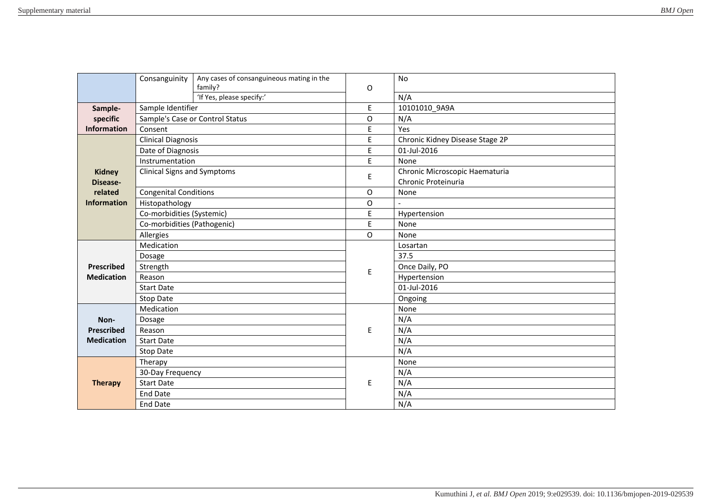|                                        | Consanguinity                      | Any cases of consanguineous mating in the |             | <b>No</b>                       |
|----------------------------------------|------------------------------------|-------------------------------------------|-------------|---------------------------------|
|                                        |                                    | family?<br>'If Yes, please specify:'      | $\circ$     | N/A                             |
| Sample-                                | Sample Identifier                  |                                           | E           | 10101010 9A9A                   |
| specific                               |                                    | Sample's Case or Control Status           |             | N/A                             |
| <b>Information</b>                     | Consent                            |                                           | O<br>E      | Yes                             |
|                                        | <b>Clinical Diagnosis</b>          |                                           | E           | Chronic Kidney Disease Stage 2P |
|                                        | Date of Diagnosis                  |                                           | E           | 01-Jul-2016                     |
|                                        | Instrumentation                    |                                           | E           | None                            |
| <b>Kidney</b>                          | <b>Clinical Signs and Symptoms</b> |                                           |             | Chronic Microscopic Haematuria  |
| Disease-                               |                                    |                                           | E           | Chronic Proteinuria             |
| related                                | <b>Congenital Conditions</b>       |                                           | 0           | None                            |
| <b>Information</b>                     | Histopathology                     |                                           | O           |                                 |
|                                        | Co-morbidities (Systemic)          |                                           | E           | Hypertension                    |
|                                        | Co-morbidities (Pathogenic)        |                                           | $\mathsf E$ | None                            |
|                                        | Allergies                          |                                           | O           | None                            |
|                                        | Medication                         |                                           |             | Losartan                        |
| <b>Prescribed</b><br><b>Medication</b> | Dosage                             |                                           | E           | 37.5                            |
|                                        | Strength                           |                                           |             | Once Daily, PO                  |
|                                        | Reason                             |                                           |             | Hypertension                    |
|                                        | <b>Start Date</b>                  |                                           |             | 01-Jul-2016                     |
|                                        | Stop Date                          |                                           |             | Ongoing                         |
|                                        | Medication                         |                                           |             | None                            |
| Non-                                   | Dosage                             |                                           |             | N/A                             |
| <b>Prescribed</b>                      | Reason                             |                                           | E           | N/A                             |
| <b>Medication</b>                      | <b>Start Date</b>                  |                                           |             | N/A                             |
|                                        | Stop Date                          |                                           |             | N/A                             |
|                                        | Therapy                            |                                           |             | None                            |
| <b>Therapy</b>                         | 30-Day Frequency                   |                                           |             | N/A                             |
|                                        | <b>Start Date</b>                  |                                           | E           | N/A                             |
|                                        | <b>End Date</b>                    |                                           |             | N/A                             |
|                                        | <b>End Date</b>                    |                                           |             | N/A                             |